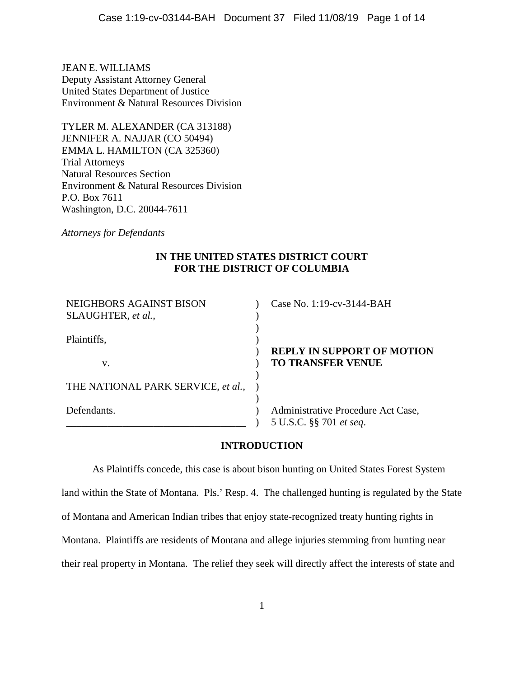JEAN E. WILLIAMS Deputy Assistant Attorney General United States Department of Justice Environment & Natural Resources Division

TYLER M. ALEXANDER (CA 313188) JENNIFER A. NAJJAR (CO 50494) EMMA L. HAMILTON (CA 325360) Trial Attorneys Natural Resources Section Environment & Natural Resources Division P.O. Box 7611 Washington, D.C. 20044-7611

*Attorneys for Defendants* 

# **IN THE UNITED STATES DISTRICT COURT FOR THE DISTRICT OF COLUMBIA**

| NEIGHBORS AGAINST BISON<br>SLAUGHTER, et al., | Case No. 1:19-cv-3144-BAH                                     |
|-----------------------------------------------|---------------------------------------------------------------|
| Plaintiffs,                                   | <b>REPLY IN SUPPORT OF MOTION</b>                             |
| V.                                            | <b>TO TRANSFER VENUE</b>                                      |
| THE NATIONAL PARK SERVICE, et al.,            |                                                               |
| Defendants.                                   | Administrative Procedure Act Case,<br>5 U.S.C. §§ 701 et seq. |

# **INTRODUCTION**

As Plaintiffs concede, this case is about bison hunting on United States Forest System land within the State of Montana. Pls.' Resp. 4. The challenged hunting is regulated by the State of Montana and American Indian tribes that enjoy state-recognized treaty hunting rights in Montana. Plaintiffs are residents of Montana and allege injuries stemming from hunting near their real property in Montana. The relief they seek will directly affect the interests of state and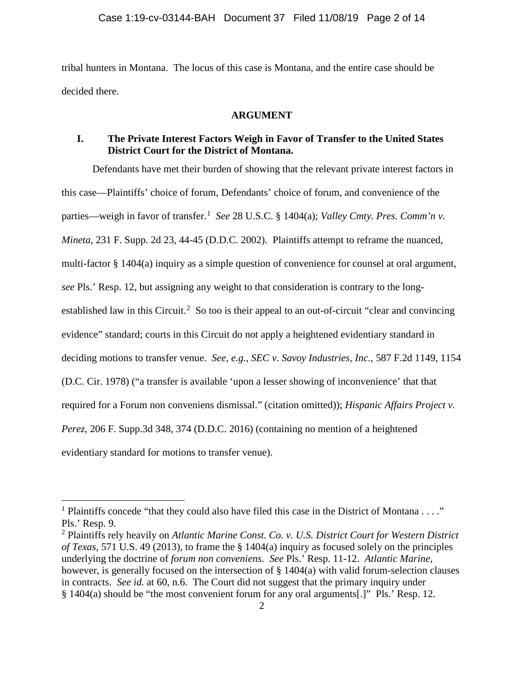tribal hunters in Montana. The locus of this case is Montana, and the entire case should be decided there.

## **ARGUMENT**

# **I. The Private Interest Factors Weigh in Favor of Transfer to the United States District Court for the District of Montana.**

Defendants have met their burden of showing that the relevant private interest factors in this case—Plaintiffs' choice of forum, Defendants' choice of forum, and convenience of the parties—weigh in favor of transfer. [1](#page-1-0) *See* 28 U.S.C. § 1404(a); *Valley Cmty. Pres. Comm'n v. Mineta*, 231 F. Supp. 2d 23, 44-45 (D.D.C. 2002). Plaintiffs attempt to reframe the nuanced, multi-factor § 1404(a) inquiry as a simple question of convenience for counsel at oral argument, *see* Pls.' Resp. 12, but assigning any weight to that consideration is contrary to the long-established law in this Circuit.<sup>[2](#page-1-1)</sup> So too is their appeal to an out-of-circuit "clear and convincing evidence" standard; courts in this Circuit do not apply a heightened evidentiary standard in deciding motions to transfer venue. *See, e.g.*, *SEC v. Savoy Industries, Inc.*, 587 F.2d 1149, 1154 (D.C. Cir. 1978) ("a transfer is available 'upon a lesser showing of inconvenience' that that required for a Forum non conveniens dismissal." (citation omitted)); *Hispanic Affairs Project v. Perez*, 206 F. Supp.3d 348, 374 (D.D.C. 2016) (containing no mention of a heightened evidentiary standard for motions to transfer venue).

<span id="page-1-0"></span><sup>&</sup>lt;sup>1</sup> Plaintiffs concede "that they could also have filed this case in the District of Montana . . . ." Pls.' Resp. 9.

<span id="page-1-1"></span><sup>2</sup> Plaintiffs rely heavily on *Atlantic Marine Const. Co. v. U.S. District Court for Western District of Texas*, 571 U.S. 49 (2013), to frame the § 1404(a) inquiry as focused solely on the principles underlying the doctrine of *forum non conveniens*. *See* Pls.' Resp. 11-12. *Atlantic Marine*, however, is generally focused on the intersection of § 1404(a) with valid forum-selection clauses in contracts. *See id.* at 60, n.6. The Court did not suggest that the primary inquiry under § 1404(a) should be "the most convenient forum for any oral arguments[.]" Pls.' Resp. 12.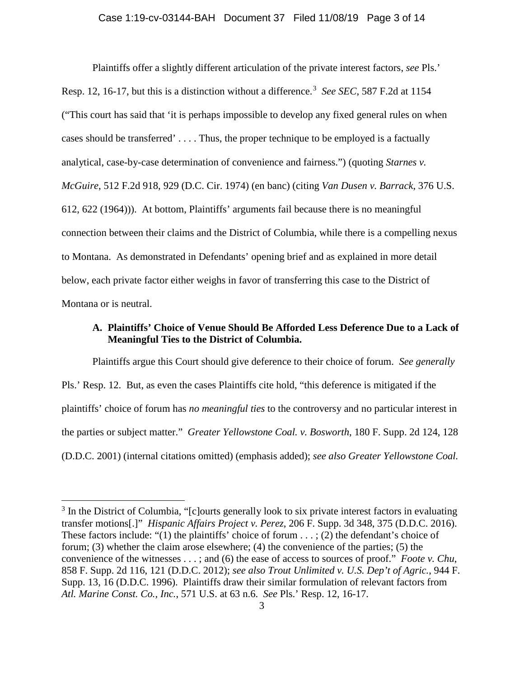Plaintiffs offer a slightly different articulation of the private interest factors, *see* Pls.' Resp. 12, 16-17, but this is a distinction without a difference. [3](#page-2-0) *See SEC*, 587 F.2d at 1154 ("This court has said that 'it is perhaps impossible to develop any fixed general rules on when cases should be transferred' . . . . Thus, the proper technique to be employed is a factually analytical, case-by-case determination of convenience and fairness.") (quoting *Starnes v. McGuire*, 512 F.2d 918, 929 (D.C. Cir. 1974) (en banc) (citing *Van Dusen v. Barrack*, 376 U.S. 612, 622 (1964))). At bottom, Plaintiffs' arguments fail because there is no meaningful connection between their claims and the District of Columbia, while there is a compelling nexus to Montana. As demonstrated in Defendants' opening brief and as explained in more detail below, each private factor either weighs in favor of transferring this case to the District of Montana or is neutral.

# **A. Plaintiffs' Choice of Venue Should Be Afforded Less Deference Due to a Lack of Meaningful Ties to the District of Columbia.**

Plaintiffs argue this Court should give deference to their choice of forum. *See generally*  Pls.' Resp. 12. But, as even the cases Plaintiffs cite hold, "this deference is mitigated if the plaintiffs' choice of forum has *no meaningful ties* to the controversy and no particular interest in the parties or subject matter." *Greater Yellowstone Coal. v. Bosworth*, 180 F. Supp. 2d 124, 128 (D.D.C. 2001) (internal citations omitted) (emphasis added); *see also Greater Yellowstone Coal.*

<span id="page-2-0"></span><sup>&</sup>lt;sup>3</sup> In the District of Columbia, "[c]ourts generally look to six private interest factors in evaluating transfer motions[.]" *Hispanic Affairs Project v. Perez*, 206 F. Supp. 3d 348, 375 (D.D.C. 2016). These factors include: "(1) the plaintiffs' choice of forum  $\dots$ ; (2) the defendant's choice of forum; (3) whether the claim arose elsewhere; (4) the convenience of the parties; (5) the convenience of the witnesses . . . ; and (6) the ease of access to sources of proof." *Foote v. Chu*, 858 F. Supp. 2d 116, 121 (D.D.C. 2012); *see also Trout Unlimited v. U.S. Dep't of Agric.*, 944 F. Supp. 13, 16 (D.D.C. 1996). Plaintiffs draw their similar formulation of relevant factors from *Atl. Marine Const. Co., Inc.*, 571 U.S. at 63 n.6. *See* Pls.' Resp. 12, 16-17.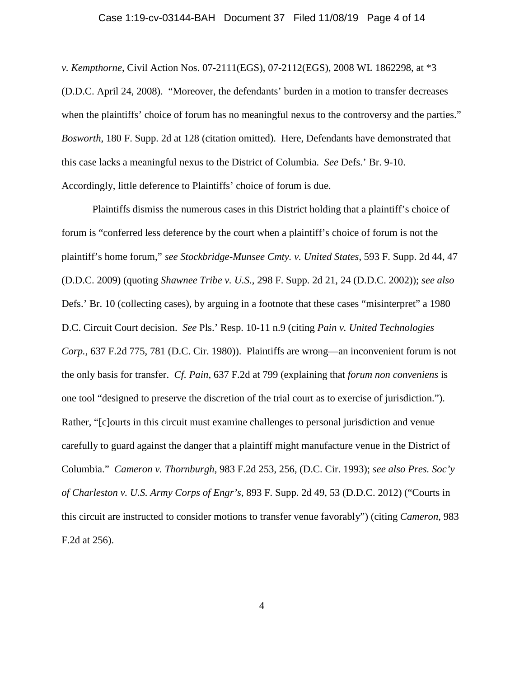#### Case 1:19-cv-03144-BAH Document 37 Filed 11/08/19 Page 4 of 14

*v. Kempthorne*, Civil Action Nos. 07-2111(EGS), 07-2112(EGS), 2008 WL 1862298, at \*3 (D.D.C. April 24, 2008). "Moreover, the defendants' burden in a motion to transfer decreases when the plaintiffs' choice of forum has no meaningful nexus to the controversy and the parties." *Bosworth*, 180 F. Supp. 2d at 128 (citation omitted). Here, Defendants have demonstrated that this case lacks a meaningful nexus to the District of Columbia. *See* Defs.' Br. 9-10. Accordingly, little deference to Plaintiffs' choice of forum is due.

Plaintiffs dismiss the numerous cases in this District holding that a plaintiff's choice of forum is "conferred less deference by the court when a plaintiff's choice of forum is not the plaintiff's home forum," *see Stockbridge-Munsee Cmty. v. United States*, 593 F. Supp. 2d 44, 47 (D.D.C. 2009) (quoting *Shawnee Tribe v. U.S.*, 298 F. Supp. 2d 21, 24 (D.D.C. 2002)); *see also*  Defs.' Br. 10 (collecting cases), by arguing in a footnote that these cases "misinterpret" a 1980 D.C. Circuit Court decision. *See* Pls.' Resp. 10-11 n.9 (citing *Pain v. United Technologies Corp.*, 637 F.2d 775, 781 (D.C. Cir. 1980)). Plaintiffs are wrong—an inconvenient forum is not the only basis for transfer. *Cf. Pain*, 637 F.2d at 799 (explaining that *forum non conveniens* is one tool "designed to preserve the discretion of the trial court as to exercise of jurisdiction."). Rather, "[c]ourts in this circuit must examine challenges to personal jurisdiction and venue carefully to guard against the danger that a plaintiff might manufacture venue in the District of Columbia." *Cameron v. Thornburgh*, 983 F.2d 253, 256, (D.C. Cir. 1993); *see also Pres. Soc'y of Charleston v. U.S. Army Corps of Engr's*, 893 F. Supp. 2d 49, 53 (D.D.C. 2012) ("Courts in this circuit are instructed to consider motions to transfer venue favorably") (citing *Cameron*, 983 F.2d at 256).

4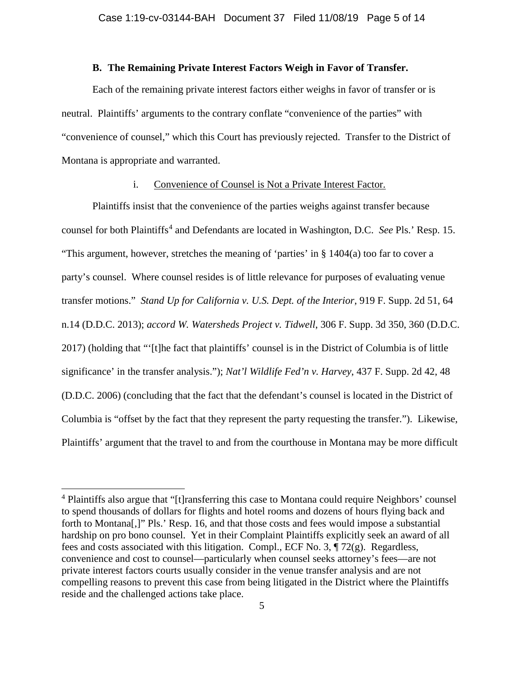## **B. The Remaining Private Interest Factors Weigh in Favor of Transfer.**

Each of the remaining private interest factors either weighs in favor of transfer or is neutral. Plaintiffs' arguments to the contrary conflate "convenience of the parties" with "convenience of counsel," which this Court has previously rejected. Transfer to the District of Montana is appropriate and warranted.

## i. Convenience of Counsel is Not a Private Interest Factor.

Plaintiffs insist that the convenience of the parties weighs against transfer because counsel for both Plaintiffs<sup>[4](#page-4-0)</sup> and Defendants are located in Washington, D.C. *See* Pls.' Resp. 15. "This argument, however, stretches the meaning of 'parties' in § 1404(a) too far to cover a party's counsel. Where counsel resides is of little relevance for purposes of evaluating venue transfer motions." *Stand Up for California v. U.S. Dept. of the Interior*, 919 F. Supp. 2d 51, 64 n.14 (D.D.C. 2013); *accord W. Watersheds Project v. Tidwell*, 306 F. Supp. 3d 350, 360 (D.D.C. 2017) (holding that "'[t]he fact that plaintiffs' counsel is in the District of Columbia is of little significance' in the transfer analysis."); *Nat'l Wildlife Fed'n v. Harvey*, 437 F. Supp. 2d 42, 48 (D.D.C. 2006) (concluding that the fact that the defendant's counsel is located in the District of Columbia is "offset by the fact that they represent the party requesting the transfer."). Likewise, Plaintiffs' argument that the travel to and from the courthouse in Montana may be more difficult

<span id="page-4-0"></span><sup>&</sup>lt;sup>4</sup> Plaintiffs also argue that "[t]ransferring this case to Montana could require Neighbors' counsel to spend thousands of dollars for flights and hotel rooms and dozens of hours flying back and forth to Montana[,]" Pls.' Resp. 16, and that those costs and fees would impose a substantial hardship on pro bono counsel. Yet in their Complaint Plaintiffs explicitly seek an award of all fees and costs associated with this litigation. Compl., ECF No. 3, ¶ 72(g). Regardless, convenience and cost to counsel—particularly when counsel seeks attorney's fees—are not private interest factors courts usually consider in the venue transfer analysis and are not compelling reasons to prevent this case from being litigated in the District where the Plaintiffs reside and the challenged actions take place.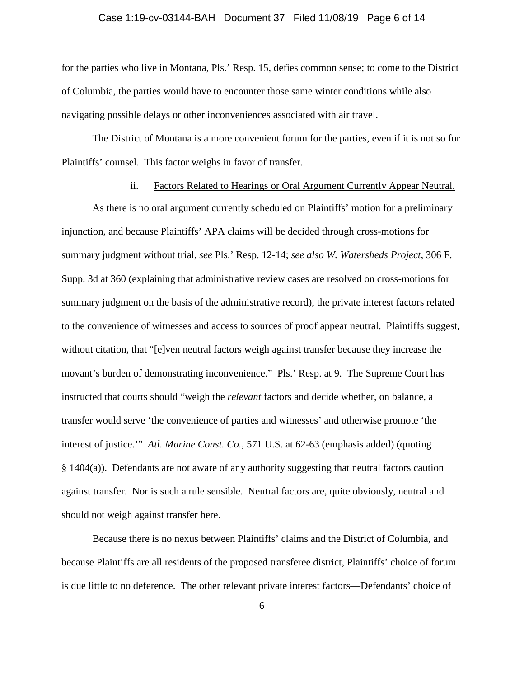## Case 1:19-cv-03144-BAH Document 37 Filed 11/08/19 Page 6 of 14

for the parties who live in Montana, Pls.' Resp. 15, defies common sense; to come to the District of Columbia, the parties would have to encounter those same winter conditions while also navigating possible delays or other inconveniences associated with air travel.

The District of Montana is a more convenient forum for the parties, even if it is not so for Plaintiffs' counsel. This factor weighs in favor of transfer.

## ii. Factors Related to Hearings or Oral Argument Currently Appear Neutral.

As there is no oral argument currently scheduled on Plaintiffs' motion for a preliminary injunction, and because Plaintiffs' APA claims will be decided through cross-motions for summary judgment without trial, *see* Pls.' Resp. 12-14; *see also W. Watersheds Project*, 306 F. Supp. 3d at 360 (explaining that administrative review cases are resolved on cross-motions for summary judgment on the basis of the administrative record), the private interest factors related to the convenience of witnesses and access to sources of proof appear neutral. Plaintiffs suggest, without citation, that "[e]ven neutral factors weigh against transfer because they increase the movant's burden of demonstrating inconvenience." Pls.' Resp. at 9. The Supreme Court has instructed that courts should "weigh the *relevant* factors and decide whether, on balance, a transfer would serve 'the convenience of parties and witnesses' and otherwise promote 'the interest of justice.'" *Atl. Marine Const. Co.*, 571 U.S. at 62-63 (emphasis added) (quoting § 1404(a)). Defendants are not aware of any authority suggesting that neutral factors caution against transfer. Nor is such a rule sensible. Neutral factors are, quite obviously, neutral and should not weigh against transfer here.

Because there is no nexus between Plaintiffs' claims and the District of Columbia, and because Plaintiffs are all residents of the proposed transferee district, Plaintiffs' choice of forum is due little to no deference. The other relevant private interest factors—Defendants' choice of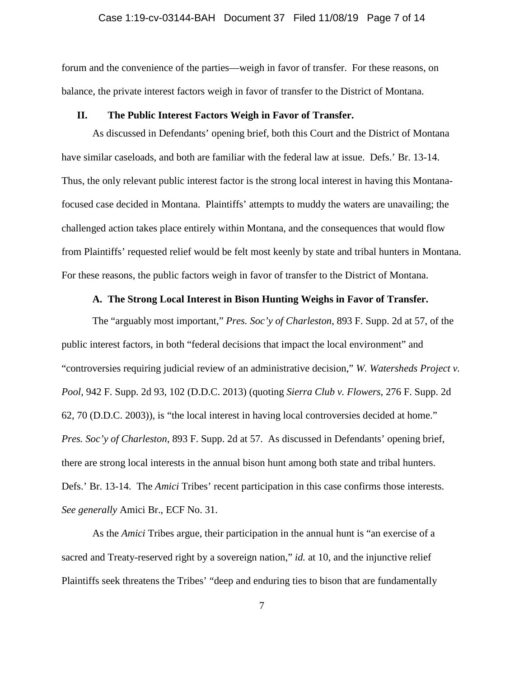## Case 1:19-cv-03144-BAH Document 37 Filed 11/08/19 Page 7 of 14

forum and the convenience of the parties—weigh in favor of transfer. For these reasons, on balance, the private interest factors weigh in favor of transfer to the District of Montana.

## **II. The Public Interest Factors Weigh in Favor of Transfer.**

As discussed in Defendants' opening brief, both this Court and the District of Montana have similar caseloads, and both are familiar with the federal law at issue. Defs.' Br. 13-14. Thus, the only relevant public interest factor is the strong local interest in having this Montanafocused case decided in Montana. Plaintiffs' attempts to muddy the waters are unavailing; the challenged action takes place entirely within Montana, and the consequences that would flow from Plaintiffs' requested relief would be felt most keenly by state and tribal hunters in Montana. For these reasons, the public factors weigh in favor of transfer to the District of Montana.

## **A. The Strong Local Interest in Bison Hunting Weighs in Favor of Transfer.**

The "arguably most important," *Pres. Soc'y of Charleston*, 893 F. Supp. 2d at 57, of the public interest factors, in both "federal decisions that impact the local environment" and "controversies requiring judicial review of an administrative decision," *W. Watersheds Project v. Pool*, 942 F. Supp. 2d 93, 102 (D.D.C. 2013) (quoting *Sierra Club v. Flowers*, 276 F. Supp. 2d 62, 70 (D.D.C. 2003)), is "the local interest in having local controversies decided at home." *Pres. Soc'y of Charleston*, 893 F. Supp. 2d at 57. As discussed in Defendants' opening brief, there are strong local interests in the annual bison hunt among both state and tribal hunters. Defs.' Br. 13-14. The *Amici* Tribes' recent participation in this case confirms those interests. *See generally* Amici Br., ECF No. 31.

As the *Amici* Tribes argue, their participation in the annual hunt is "an exercise of a sacred and Treaty-reserved right by a sovereign nation," *id.* at 10, and the injunctive relief Plaintiffs seek threatens the Tribes' "deep and enduring ties to bison that are fundamentally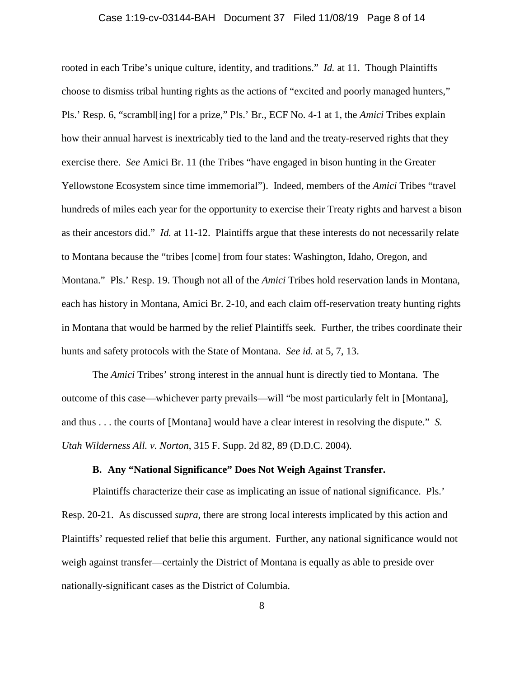## Case 1:19-cv-03144-BAH Document 37 Filed 11/08/19 Page 8 of 14

rooted in each Tribe's unique culture, identity, and traditions." *Id.* at 11. Though Plaintiffs choose to dismiss tribal hunting rights as the actions of "excited and poorly managed hunters," Pls.' Resp. 6, "scrambl[ing] for a prize," Pls.' Br., ECF No. 4-1 at 1, the *Amici* Tribes explain how their annual harvest is inextricably tied to the land and the treaty-reserved rights that they exercise there. *See* Amici Br. 11 (the Tribes "have engaged in bison hunting in the Greater Yellowstone Ecosystem since time immemorial"). Indeed, members of the *Amici* Tribes "travel hundreds of miles each year for the opportunity to exercise their Treaty rights and harvest a bison as their ancestors did." *Id.* at 11-12. Plaintiffs argue that these interests do not necessarily relate to Montana because the "tribes [come] from four states: Washington, Idaho, Oregon, and Montana." Pls.' Resp. 19. Though not all of the *Amici* Tribes hold reservation lands in Montana, each has history in Montana, Amici Br. 2-10, and each claim off-reservation treaty hunting rights in Montana that would be harmed by the relief Plaintiffs seek. Further, the tribes coordinate their hunts and safety protocols with the State of Montana. *See id.* at 5, 7, 13.

The *Amici* Tribes' strong interest in the annual hunt is directly tied to Montana. The outcome of this case—whichever party prevails—will "be most particularly felt in [Montana], and thus . . . the courts of [Montana] would have a clear interest in resolving the dispute." *S. Utah Wilderness All. v. Norton*, 315 F. Supp. 2d 82, 89 (D.D.C. 2004).

## **B. Any "National Significance" Does Not Weigh Against Transfer.**

Plaintiffs characterize their case as implicating an issue of national significance. Pls.' Resp. 20-21. As discussed *supra*, there are strong local interests implicated by this action and Plaintiffs' requested relief that belie this argument. Further, any national significance would not weigh against transfer—certainly the District of Montana is equally as able to preside over nationally-significant cases as the District of Columbia.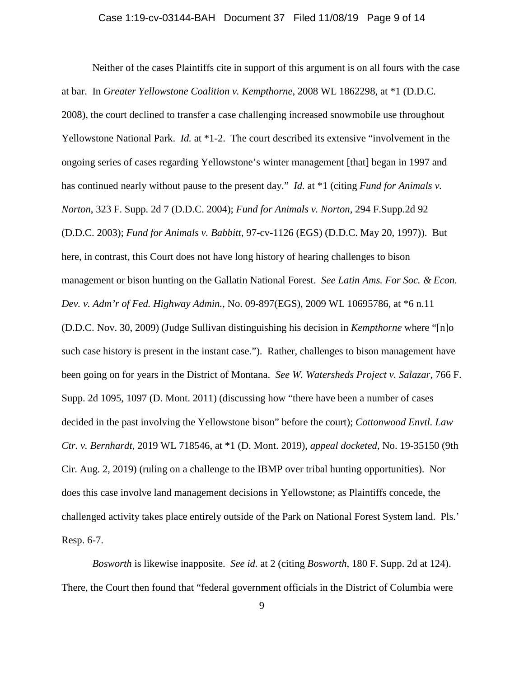## Case 1:19-cv-03144-BAH Document 37 Filed 11/08/19 Page 9 of 14

Neither of the cases Plaintiffs cite in support of this argument is on all fours with the case at bar. In *Greater Yellowstone Coalition v. Kempthorne*, 2008 WL 1862298, at \*1 (D.D.C. 2008), the court declined to transfer a case challenging increased snowmobile use throughout Yellowstone National Park. *Id.* at \*1-2. The court described its extensive "involvement in the ongoing series of cases regarding Yellowstone's winter management [that] began in 1997 and has continued nearly without pause to the present day." *Id.* at \*1 (citing *Fund for Animals v. Norton*, 323 F. Supp. 2d 7 (D.D.C. 2004); *Fund for Animals v. Norton*, 294 F.Supp.2d 92 (D.D.C. 2003); *Fund for Animals v. Babbitt*, 97-cv-1126 (EGS) (D.D.C. May 20, 1997)). But here, in contrast, this Court does not have long history of hearing challenges to bison management or bison hunting on the Gallatin National Forest. *See Latin Ams. For Soc. & Econ. Dev. v. Adm'r of Fed. Highway Admin.*, No. 09-897(EGS), 2009 WL 10695786, at \*6 n.11 (D.D.C. Nov. 30, 2009) (Judge Sullivan distinguishing his decision in *Kempthorne* where "[n]o such case history is present in the instant case."). Rather, challenges to bison management have been going on for years in the District of Montana. *See W. Watersheds Project v. Salazar*, 766 F. Supp. 2d 1095, 1097 (D. Mont. 2011) (discussing how "there have been a number of cases decided in the past involving the Yellowstone bison" before the court); *Cottonwood Envtl. Law Ctr. v. Bernhardt*, 2019 WL 718546, at \*1 (D. Mont. 2019), *appeal docketed*, No. 19-35150 (9th Cir. Aug. 2, 2019) (ruling on a challenge to the IBMP over tribal hunting opportunities). Nor does this case involve land management decisions in Yellowstone; as Plaintiffs concede, the challenged activity takes place entirely outside of the Park on National Forest System land. Pls.' Resp. 6-7.

*Bosworth* is likewise inapposite. *See id.* at 2 (citing *Bosworth*, 180 F. Supp. 2d at 124). There, the Court then found that "federal government officials in the District of Columbia were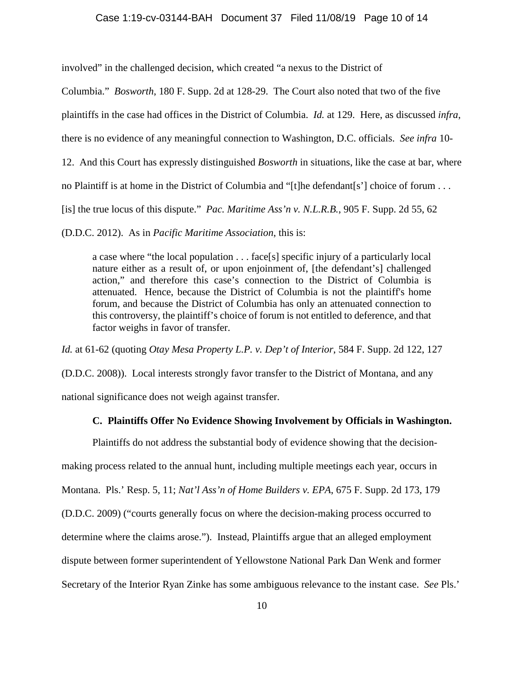#### Case 1:19-cv-03144-BAH Document 37 Filed 11/08/19 Page 10 of 14

involved" in the challenged decision, which created "a nexus to the District of

Columbia." *Bosworth*, 180 F. Supp. 2d at 128-29. The Court also noted that two of the five

plaintiffs in the case had offices in the District of Columbia. *Id.* at 129. Here, as discussed *infra*,

there is no evidence of any meaningful connection to Washington, D.C. officials. *See infra* 10-

12. And this Court has expressly distinguished *Bosworth* in situations, like the case at bar, where

no Plaintiff is at home in the District of Columbia and "[t]he defendant[s'] choice of forum . . .

[is] the true locus of this dispute." *Pac. Maritime Ass'n v. N.L.R.B.*, 905 F. Supp. 2d 55, 62

(D.D.C. 2012). As in *Pacific Maritime Association*, this is:

a case where "the local population . . . face[s] specific injury of a particularly local nature either as a result of, or upon enjoinment of, [the defendant's] challenged action," and therefore this case's connection to the District of Columbia is attenuated. Hence, because the District of Columbia is not the plaintiff's home forum, and because the District of Columbia has only an attenuated connection to this controversy, the plaintiff's choice of forum is not entitled to deference, and that factor weighs in favor of transfer.

*Id.* at 61-62 (quoting *Otay Mesa Property L.P. v. Dep't of Interior*, 584 F. Supp. 2d 122, 127

(D.D.C. 2008)). Local interests strongly favor transfer to the District of Montana, and any national significance does not weigh against transfer.

## **C. Plaintiffs Offer No Evidence Showing Involvement by Officials in Washington.**

Plaintiffs do not address the substantial body of evidence showing that the decisionmaking process related to the annual hunt, including multiple meetings each year, occurs in Montana. Pls.' Resp. 5, 11; *Nat'l Ass'n of Home Builders v. EPA*, 675 F. Supp. 2d 173, 179 (D.D.C. 2009) ("courts generally focus on where the decision-making process occurred to determine where the claims arose."). Instead, Plaintiffs argue that an alleged employment dispute between former superintendent of Yellowstone National Park Dan Wenk and former Secretary of the Interior Ryan Zinke has some ambiguous relevance to the instant case. *See* Pls.'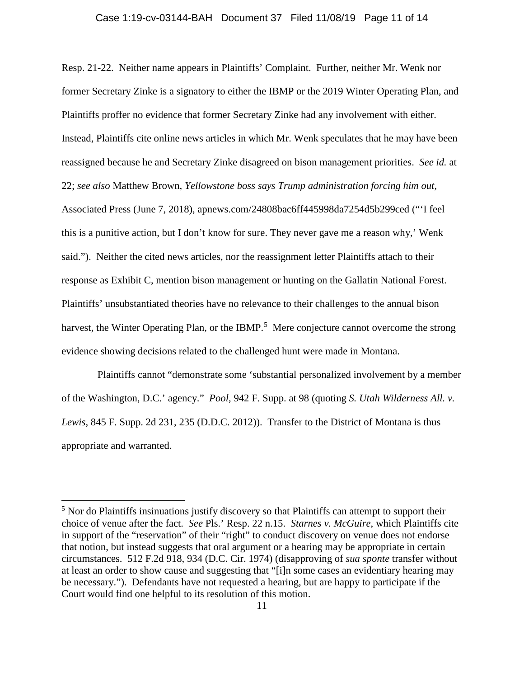#### Case 1:19-cv-03144-BAH Document 37 Filed 11/08/19 Page 11 of 14

Resp. 21-22. Neither name appears in Plaintiffs' Complaint. Further, neither Mr. Wenk nor former Secretary Zinke is a signatory to either the IBMP or the 2019 Winter Operating Plan, and Plaintiffs proffer no evidence that former Secretary Zinke had any involvement with either. Instead, Plaintiffs cite online news articles in which Mr. Wenk speculates that he may have been reassigned because he and Secretary Zinke disagreed on bison management priorities. *See id.* at 22; *see also* Matthew Brown, *Yellowstone boss says Trump administration forcing him out*, Associated Press (June 7, 2018), apnews.com/24808bac6ff445998da7254d5b299ced ("'I feel this is a punitive action, but I don't know for sure. They never gave me a reason why,' Wenk said."). Neither the cited news articles, nor the reassignment letter Plaintiffs attach to their response as Exhibit C, mention bison management or hunting on the Gallatin National Forest. Plaintiffs' unsubstantiated theories have no relevance to their challenges to the annual bison harvest, the Winter Operating Plan, or the IBMP.<sup>[5](#page-10-0)</sup> Mere conjecture cannot overcome the strong evidence showing decisions related to the challenged hunt were made in Montana.

 Plaintiffs cannot "demonstrate some 'substantial personalized involvement by a member of the Washington, D.C.' agency." *Pool*, 942 F. Supp. at 98 (quoting *S. Utah Wilderness All. v. Lewis*, 845 F. Supp. 2d 231, 235 (D.D.C. 2012)). Transfer to the District of Montana is thus appropriate and warranted.

<span id="page-10-0"></span> $<sup>5</sup>$  Nor do Plaintiffs insinuations justify discovery so that Plaintiffs can attempt to support their</sup> choice of venue after the fact. *See* Pls.' Resp. 22 n.15. *Starnes v. McGuire*, which Plaintiffs cite in support of the "reservation" of their "right" to conduct discovery on venue does not endorse that notion, but instead suggests that oral argument or a hearing may be appropriate in certain circumstances. 512 F.2d 918, 934 (D.C. Cir. 1974) (disapproving of *sua sponte* transfer without at least an order to show cause and suggesting that "[i]n some cases an evidentiary hearing may be necessary."). Defendants have not requested a hearing, but are happy to participate if the Court would find one helpful to its resolution of this motion.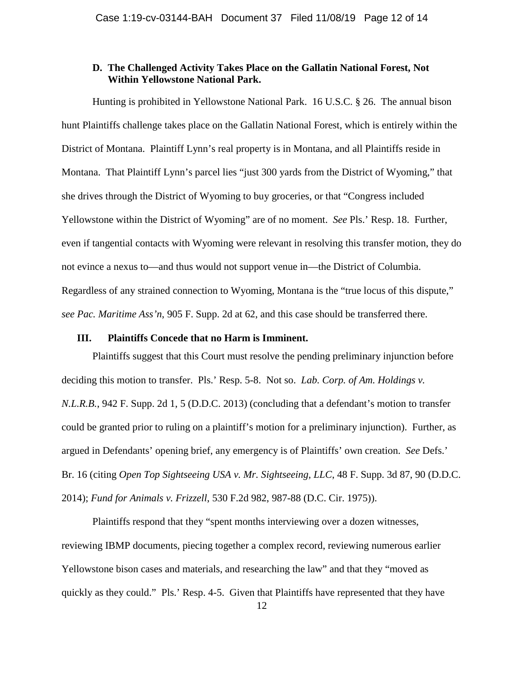## **D. The Challenged Activity Takes Place on the Gallatin National Forest, Not Within Yellowstone National Park.**

Hunting is prohibited in Yellowstone National Park. 16 U.S.C. § 26. The annual bison hunt Plaintiffs challenge takes place on the Gallatin National Forest, which is entirely within the District of Montana. Plaintiff Lynn's real property is in Montana, and all Plaintiffs reside in Montana. That Plaintiff Lynn's parcel lies "just 300 yards from the District of Wyoming," that she drives through the District of Wyoming to buy groceries, or that "Congress included Yellowstone within the District of Wyoming" are of no moment. *See* Pls.' Resp. 18. Further, even if tangential contacts with Wyoming were relevant in resolving this transfer motion, they do not evince a nexus to—and thus would not support venue in—the District of Columbia. Regardless of any strained connection to Wyoming, Montana is the "true locus of this dispute," *see Pac. Maritime Ass'n*, 905 F. Supp. 2d at 62, and this case should be transferred there.

## **III. Plaintiffs Concede that no Harm is Imminent.**

Plaintiffs suggest that this Court must resolve the pending preliminary injunction before deciding this motion to transfer. Pls.' Resp. 5-8. Not so. *Lab. Corp. of Am. Holdings v. N.L.R.B.*, 942 F. Supp. 2d 1, 5 (D.D.C. 2013) (concluding that a defendant's motion to transfer could be granted prior to ruling on a plaintiff's motion for a preliminary injunction). Further, as argued in Defendants' opening brief, any emergency is of Plaintiffs' own creation. *See* Defs.' Br. 16 (citing *Open Top Sightseeing USA v. Mr. Sightseeing, LLC*, 48 F. Supp. 3d 87, 90 (D.D.C. 2014); *Fund for Animals v. Frizzell*, 530 F.2d 982, 987-88 (D.C. Cir. 1975)).

Plaintiffs respond that they "spent months interviewing over a dozen witnesses, reviewing IBMP documents, piecing together a complex record, reviewing numerous earlier Yellowstone bison cases and materials, and researching the law" and that they "moved as quickly as they could." Pls.' Resp. 4-5. Given that Plaintiffs have represented that they have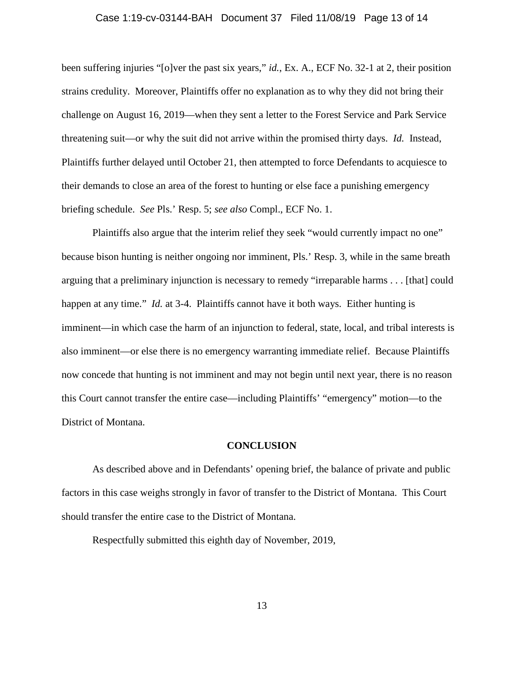## Case 1:19-cv-03144-BAH Document 37 Filed 11/08/19 Page 13 of 14

been suffering injuries "[o]ver the past six years," *id.*, Ex. A., ECF No. 32-1 at 2, their position strains credulity. Moreover, Plaintiffs offer no explanation as to why they did not bring their challenge on August 16, 2019—when they sent a letter to the Forest Service and Park Service threatening suit—or why the suit did not arrive within the promised thirty days. *Id.* Instead, Plaintiffs further delayed until October 21, then attempted to force Defendants to acquiesce to their demands to close an area of the forest to hunting or else face a punishing emergency briefing schedule. *See* Pls.' Resp. 5; *see also* Compl., ECF No. 1.

Plaintiffs also argue that the interim relief they seek "would currently impact no one" because bison hunting is neither ongoing nor imminent, Pls.' Resp. 3, while in the same breath arguing that a preliminary injunction is necessary to remedy "irreparable harms . . . [that] could happen at any time." *Id.* at 3-4. Plaintiffs cannot have it both ways. Either hunting is imminent—in which case the harm of an injunction to federal, state, local, and tribal interests is also imminent—or else there is no emergency warranting immediate relief. Because Plaintiffs now concede that hunting is not imminent and may not begin until next year, there is no reason this Court cannot transfer the entire case—including Plaintiffs' "emergency" motion—to the District of Montana.

#### **CONCLUSION**

As described above and in Defendants' opening brief, the balance of private and public factors in this case weighs strongly in favor of transfer to the District of Montana. This Court should transfer the entire case to the District of Montana.

Respectfully submitted this eighth day of November, 2019,